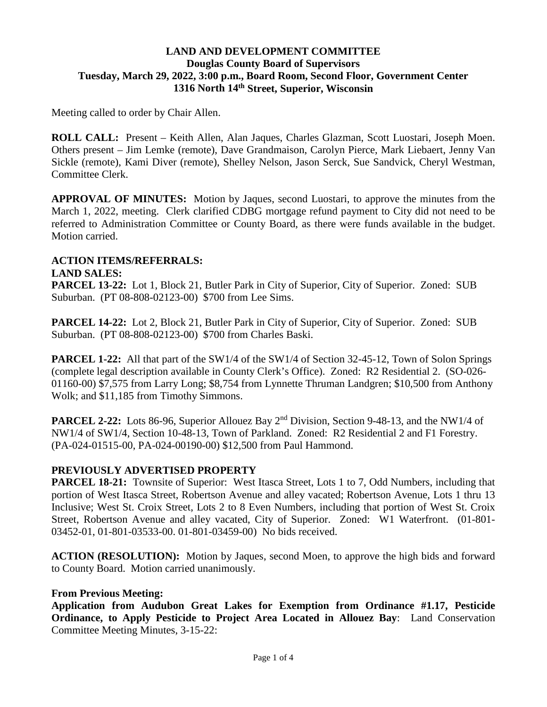# **LAND AND DEVELOPMENT COMMITTEE Douglas County Board of Supervisors Tuesday, March 29, 2022, 3:00 p.m., Board Room, Second Floor, Government Center 1316 North 14th Street, Superior, Wisconsin**

Meeting called to order by Chair Allen.

**ROLL CALL:** Present – Keith Allen, Alan Jaques, Charles Glazman, Scott Luostari, Joseph Moen. Others present – Jim Lemke (remote), Dave Grandmaison, Carolyn Pierce, Mark Liebaert, Jenny Van Sickle (remote), Kami Diver (remote), Shelley Nelson, Jason Serck, Sue Sandvick, Cheryl Westman, Committee Clerk.

**APPROVAL OF MINUTES:** Motion by Jaques, second Luostari, to approve the minutes from the March 1, 2022, meeting. Clerk clarified CDBG mortgage refund payment to City did not need to be referred to Administration Committee or County Board, as there were funds available in the budget. Motion carried.

# **ACTION ITEMS/REFERRALS:**

# **LAND SALES:**

**PARCEL 13-22:** Lot 1, Block 21, Butler Park in City of Superior, City of Superior. Zoned: SUB Suburban. (PT 08-808-02123-00) \$700 from Lee Sims.

**PARCEL 14-22:** Lot 2, Block 21, Butler Park in City of Superior, City of Superior. Zoned: SUB Suburban. (PT 08-808-02123-00) \$700 from Charles Baski.

**PARCEL 1-22:** All that part of the SW1/4 of the SW1/4 of Section 32-45-12, Town of Solon Springs (complete legal description available in County Clerk's Office). Zoned: R2 Residential 2. (SO-026- 01160-00) \$7,575 from Larry Long; \$8,754 from Lynnette Thruman Landgren; \$10,500 from Anthony Wolk; and \$11,185 from Timothy Simmons.

**PARCEL 2-22:** Lots 86-96, Superior Allouez Bay 2<sup>nd</sup> Division, Section 9-48-13, and the NW1/4 of NW1/4 of SW1/4, Section 10-48-13, Town of Parkland. Zoned: R2 Residential 2 and F1 Forestry. (PA-024-01515-00, PA-024-00190-00) \$12,500 from Paul Hammond.

# **PREVIOUSLY ADVERTISED PROPERTY**

**PARCEL 18-21:** Townsite of Superior: West Itasca Street, Lots 1 to 7, Odd Numbers, including that portion of West Itasca Street, Robertson Avenue and alley vacated; Robertson Avenue, Lots 1 thru 13 Inclusive; West St. Croix Street, Lots 2 to 8 Even Numbers, including that portion of West St. Croix Street, Robertson Avenue and alley vacated, City of Superior. Zoned: W1 Waterfront. (01-801- 03452-01, 01-801-03533-00. 01-801-03459-00) No bids received.

**ACTION (RESOLUTION):** Motion by Jaques, second Moen, to approve the high bids and forward to County Board. Motion carried unanimously.

# **From Previous Meeting:**

**Application from Audubon Great Lakes for Exemption from Ordinance #1.17, Pesticide Ordinance, to Apply Pesticide to Project Area Located in Allouez Bay**: Land Conservation Committee Meeting Minutes, 3-15-22: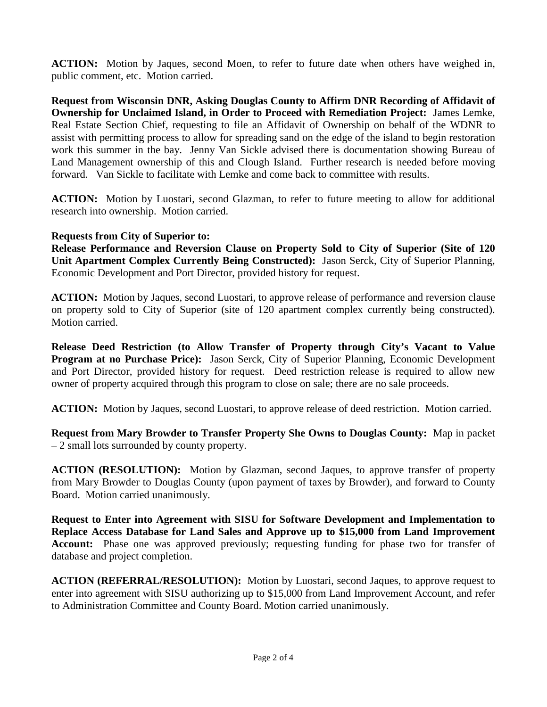**ACTION:** Motion by Jaques, second Moen, to refer to future date when others have weighed in, public comment, etc. Motion carried.

**Request from Wisconsin DNR, Asking Douglas County to Affirm DNR Recording of Affidavit of Ownership for Unclaimed Island, in Order to Proceed with Remediation Project:** James Lemke, Real Estate Section Chief, requesting to file an Affidavit of Ownership on behalf of the WDNR to assist with permitting process to allow for spreading sand on the edge of the island to begin restoration work this summer in the bay. Jenny Van Sickle advised there is documentation showing Bureau of Land Management ownership of this and Clough Island. Further research is needed before moving forward. Van Sickle to facilitate with Lemke and come back to committee with results.

**ACTION:** Motion by Luostari, second Glazman, to refer to future meeting to allow for additional research into ownership. Motion carried.

#### **Requests from City of Superior to:**

**Release Performance and Reversion Clause on Property Sold to City of Superior (Site of 120 Unit Apartment Complex Currently Being Constructed):** Jason Serck, City of Superior Planning, Economic Development and Port Director, provided history for request.

**ACTION:** Motion by Jaques, second Luostari, to approve release of performance and reversion clause on property sold to City of Superior (site of 120 apartment complex currently being constructed). Motion carried.

**Release Deed Restriction (to Allow Transfer of Property through City's Vacant to Value Program at no Purchase Price):** Jason Serck, City of Superior Planning, Economic Development and Port Director, provided history for request. Deed restriction release is required to allow new owner of property acquired through this program to close on sale; there are no sale proceeds.

**ACTION:** Motion by Jaques, second Luostari, to approve release of deed restriction. Motion carried.

**Request from Mary Browder to Transfer Property She Owns to Douglas County:** Map in packet – 2 small lots surrounded by county property.

**ACTION (RESOLUTION):** Motion by Glazman, second Jaques, to approve transfer of property from Mary Browder to Douglas County (upon payment of taxes by Browder), and forward to County Board. Motion carried unanimously.

**Request to Enter into Agreement with SISU for Software Development and Implementation to Replace Access Database for Land Sales and Approve up to \$15,000 from Land Improvement Account:** Phase one was approved previously; requesting funding for phase two for transfer of database and project completion.

**ACTION (REFERRAL/RESOLUTION):** Motion by Luostari, second Jaques, to approve request to enter into agreement with SISU authorizing up to \$15,000 from Land Improvement Account, and refer to Administration Committee and County Board. Motion carried unanimously.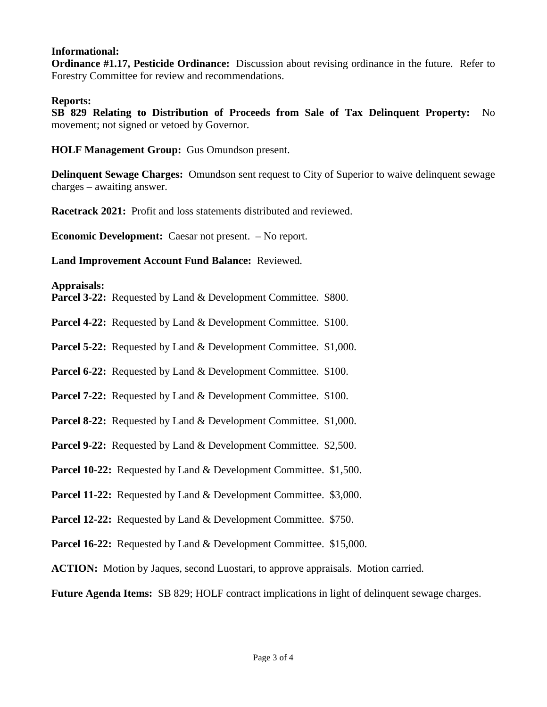#### **Informational:**

**Ordinance #1.17, Pesticide Ordinance:** Discussion about revising ordinance in the future. Refer to Forestry Committee for review and recommendations.

#### **Reports:**

**SB 829 Relating to Distribution of Proceeds from Sale of Tax Delinquent Property:** No movement; not signed or vetoed by Governor.

**HOLF Management Group:** Gus Omundson present.

**Delinquent Sewage Charges:** Omundson sent request to City of Superior to waive delinquent sewage charges – awaiting answer.

**Racetrack 2021:** Profit and loss statements distributed and reviewed.

**Economic Development:** Caesar not present. – No report.

**Land Improvement Account Fund Balance:** Reviewed.

#### **Appraisals:**

**Parcel 3-22:** Requested by Land & Development Committee. \$800.

**Parcel 4-22:** Requested by Land & Development Committee. \$100.

**Parcel 5-22:** Requested by Land & Development Committee. \$1,000.

**Parcel 6-22:** Requested by Land & Development Committee. \$100.

Parcel 7-22: Requested by Land & Development Committee. \$100.

**Parcel 8-22:** Requested by Land & Development Committee. \$1,000.

**Parcel 9-22:** Requested by Land & Development Committee. \$2,500.

**Parcel 10-22:** Requested by Land & Development Committee. \$1,500.

**Parcel 11-22:** Requested by Land & Development Committee. \$3,000.

**Parcel 12-22:** Requested by Land & Development Committee. \$750.

**Parcel 16-22:** Requested by Land & Development Committee. \$15,000.

**ACTION:** Motion by Jaques, second Luostari, to approve appraisals. Motion carried.

**Future Agenda Items:** SB 829; HOLF contract implications in light of delinquent sewage charges.